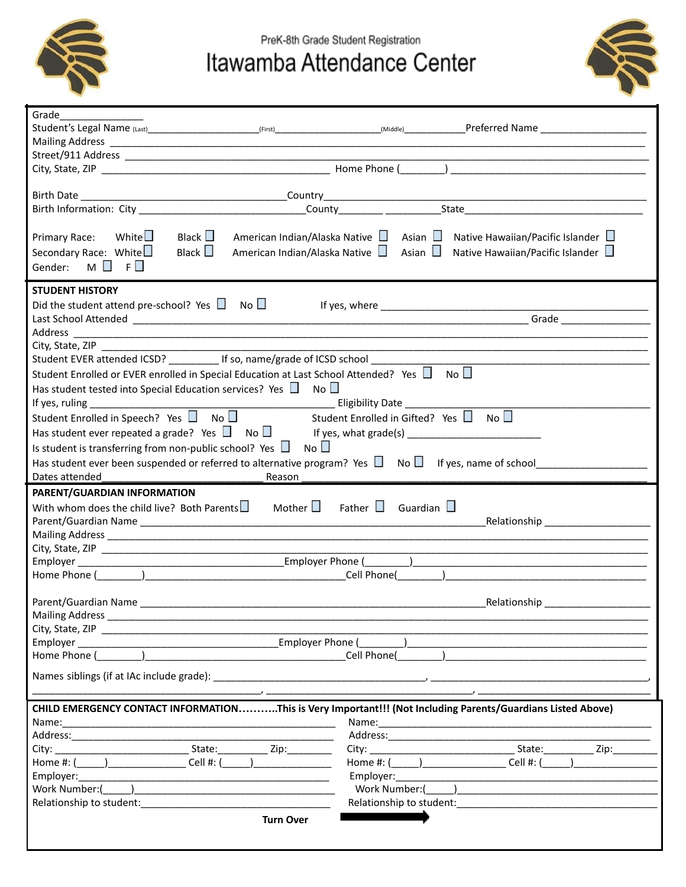

PreK-8th Grade Student Registration

## Itawamba Attendance Center



| Grade                                                                                                                                                                                                                                                                                                |  |  |  |
|------------------------------------------------------------------------------------------------------------------------------------------------------------------------------------------------------------------------------------------------------------------------------------------------------|--|--|--|
|                                                                                                                                                                                                                                                                                                      |  |  |  |
|                                                                                                                                                                                                                                                                                                      |  |  |  |
|                                                                                                                                                                                                                                                                                                      |  |  |  |
|                                                                                                                                                                                                                                                                                                      |  |  |  |
|                                                                                                                                                                                                                                                                                                      |  |  |  |
|                                                                                                                                                                                                                                                                                                      |  |  |  |
| Primary Race: White<br>Black $\square$<br>American Indian/Alaska Native $\Box$ Asian $\Box$ Native Hawaiian/Pacific Islander $\Box$<br>Black $\Box$<br>Secondary Race: White<br>American Indian/Alaska Native $\Box$ Asian $\Box$ Native Hawaiian/Pacific Islander $\Box$<br>Gender: $M \Box F \Box$ |  |  |  |
| <b>STUDENT HISTORY</b>                                                                                                                                                                                                                                                                               |  |  |  |
| Did the student attend pre-school? Yes $\Box$ No $\Box$                                                                                                                                                                                                                                              |  |  |  |
| Grade                                                                                                                                                                                                                                                                                                |  |  |  |
|                                                                                                                                                                                                                                                                                                      |  |  |  |
| City, State, ZIP                                                                                                                                                                                                                                                                                     |  |  |  |
|                                                                                                                                                                                                                                                                                                      |  |  |  |
| Student Enrolled or EVER enrolled in Special Education at Last School Attended? Yes $\Box$ No $\Box$                                                                                                                                                                                                 |  |  |  |
| Has student tested into Special Education services? Yes $\Box$ No $\Box$                                                                                                                                                                                                                             |  |  |  |
| If yes, ruling $\frac{1}{2}$ if yes, ruling $\frac{1}{2}$                                                                                                                                                                                                                                            |  |  |  |
| Student Enrolled in Speech? Yes $\Box$ No $\Box$<br>Student Enrolled in Gifted? Yes $\Box$ No $\Box$                                                                                                                                                                                                 |  |  |  |
|                                                                                                                                                                                                                                                                                                      |  |  |  |
| Is student is transferring from non-public school? Yes $\Box$ No $\Box$                                                                                                                                                                                                                              |  |  |  |
|                                                                                                                                                                                                                                                                                                      |  |  |  |
| Has student ever been suspended or referred to alternative program? Yes $\Box$ No $\Box$ If yes, name of school                                                                                                                                                                                      |  |  |  |
| Dates attended<br>Reason                                                                                                                                                                                                                                                                             |  |  |  |
| PARENT/GUARDIAN INFORMATION                                                                                                                                                                                                                                                                          |  |  |  |
| With whom does the child live? Both Parents $\square$ Mother $\square$<br>Father $\Box$ Guardian $\Box$                                                                                                                                                                                              |  |  |  |
| Relationship                                                                                                                                                                                                                                                                                         |  |  |  |
|                                                                                                                                                                                                                                                                                                      |  |  |  |
|                                                                                                                                                                                                                                                                                                      |  |  |  |
| Cell Phone()                                                                                                                                                                                                                                                                                         |  |  |  |
|                                                                                                                                                                                                                                                                                                      |  |  |  |
| Parent/Guardian Name<br>Relationship                                                                                                                                                                                                                                                                 |  |  |  |
|                                                                                                                                                                                                                                                                                                      |  |  |  |
|                                                                                                                                                                                                                                                                                                      |  |  |  |
|                                                                                                                                                                                                                                                                                                      |  |  |  |
| Home Phone (                                                                                                                                                                                                                                                                                         |  |  |  |
|                                                                                                                                                                                                                                                                                                      |  |  |  |
|                                                                                                                                                                                                                                                                                                      |  |  |  |
|                                                                                                                                                                                                                                                                                                      |  |  |  |
| CHILD EMERGENCY CONTACT INFORMATIONThis is Very Important!!! (Not Including Parents/Guardians Listed Above)                                                                                                                                                                                          |  |  |  |
|                                                                                                                                                                                                                                                                                                      |  |  |  |
|                                                                                                                                                                                                                                                                                                      |  |  |  |
|                                                                                                                                                                                                                                                                                                      |  |  |  |
| Cell #: (<br>Cell #: (                                                                                                                                                                                                                                                                               |  |  |  |
|                                                                                                                                                                                                                                                                                                      |  |  |  |
| Work Number:()                                                                                                                                                                                                                                                                                       |  |  |  |
| Relationship to student: Notified that the students of the students of the students of the students of the students<br>Relationship to student: Note that the students of the students of the students of the students of the students                                                               |  |  |  |
|                                                                                                                                                                                                                                                                                                      |  |  |  |
| <b>Turn Over</b>                                                                                                                                                                                                                                                                                     |  |  |  |
|                                                                                                                                                                                                                                                                                                      |  |  |  |